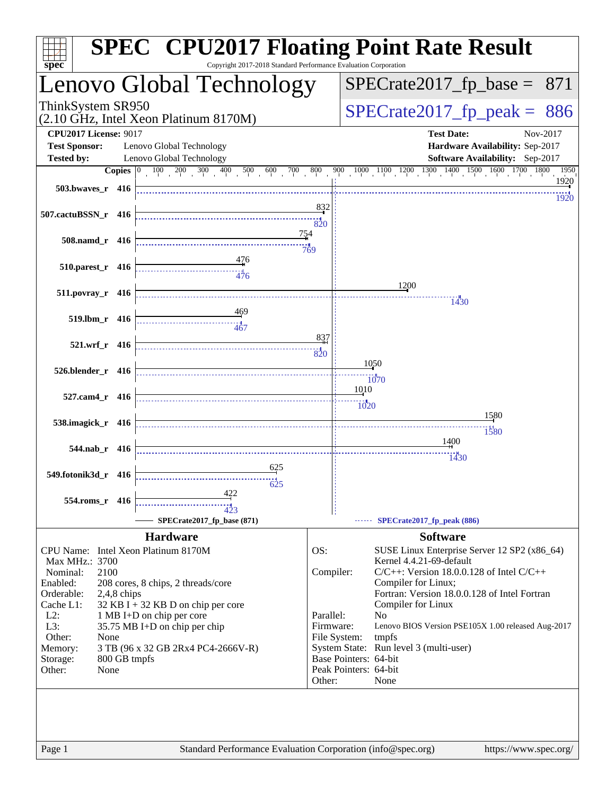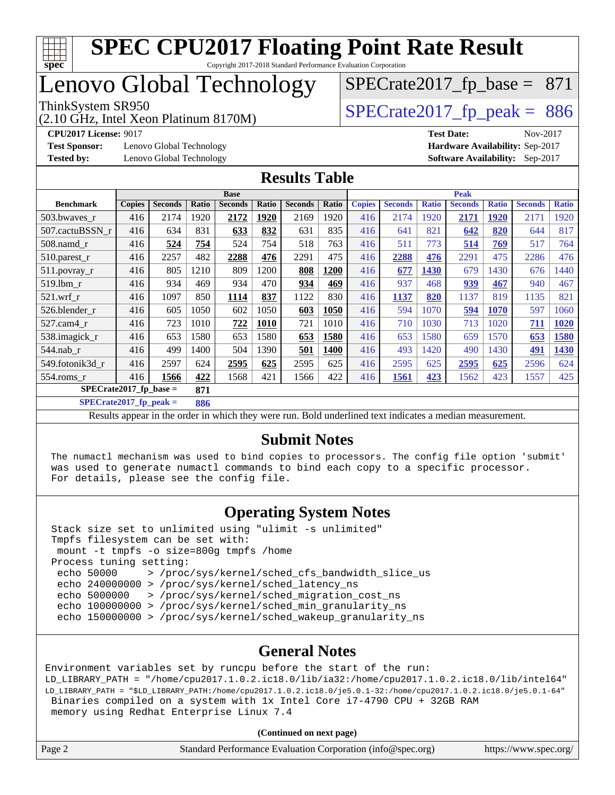

### Lenovo Global Technology

(2.10 GHz, Intel Xeon Platinum 8170M)

 $SPECTate2017_fp\_peak = 886$ 

 $SPECrate2017_fp\_base = 871$ 

**[Test Sponsor:](http://www.spec.org/auto/cpu2017/Docs/result-fields.html#TestSponsor)** Lenovo Global Technology **[Hardware Availability:](http://www.spec.org/auto/cpu2017/Docs/result-fields.html#HardwareAvailability)** Sep-2017 **[Tested by:](http://www.spec.org/auto/cpu2017/Docs/result-fields.html#Testedby)** Lenovo Global Technology **[Software Availability:](http://www.spec.org/auto/cpu2017/Docs/result-fields.html#SoftwareAvailability)** Sep-2017

**[CPU2017 License:](http://www.spec.org/auto/cpu2017/Docs/result-fields.html#CPU2017License)** 9017 **[Test Date:](http://www.spec.org/auto/cpu2017/Docs/result-fields.html#TestDate)** Nov-2017

#### **[Results Table](http://www.spec.org/auto/cpu2017/Docs/result-fields.html#ResultsTable)**

|                                  | <b>Base</b>   |                |       |                |       |                |       | <b>Peak</b>   |                |              |                |              |                |              |
|----------------------------------|---------------|----------------|-------|----------------|-------|----------------|-------|---------------|----------------|--------------|----------------|--------------|----------------|--------------|
| <b>Benchmark</b>                 | <b>Copies</b> | <b>Seconds</b> | Ratio | <b>Seconds</b> | Ratio | <b>Seconds</b> | Ratio | <b>Copies</b> | <b>Seconds</b> | <b>Ratio</b> | <b>Seconds</b> | <b>Ratio</b> | <b>Seconds</b> | <b>Ratio</b> |
| 503.bwaves_r                     | 416           | 2174           | 1920  | 2172           | 1920  | 2169           | 1920  | 416           | 2174           | 1920         | 2171           | 1920         | 2171           | 1920         |
| 507.cactuBSSN r                  | 416           | 634            | 831   | 633            | 832   | 631            | 835   | 416           | 641            | 821          | 642            | 820          | 644            | 817          |
| $508$ .namd $_r$                 | 416           | 524            | 754   | 524            | 754   | 518            | 763   | 416           | 511            | 773          | 514            | 769          | 517            | 764          |
| 510.parest_r                     | 416           | 2257           | 482   | 2288           | 476   | 2291           | 475   | 416           | 2288           | 476          | 2291           | 475          | 2286           | 476          |
| 511.povray_r                     | 416           | 805            | 1210  | 809            | 1200  | 808            | 1200  | 416           | 677            | 1430         | 679            | 1430         | 676            | 1440         |
| 519.lbm r                        | 416           | 934            | 469   | 934            | 470   | 934            | 469   | 416           | 937            | 468          | 939            | 467          | 940            | 467          |
| $521$ .wrf r                     | 416           | 1097           | 850   | 1114           | 837   | 1122           | 830   | 416           | 1137           | 820          | 1137           | 819          | 1135           | 821          |
| 526.blender r                    | 416           | 605            | 1050  | 602            | 1050  | 603            | 1050  | 416           | 594            | 1070         | 594            | 1070         | 597            | 1060         |
| $527.cam4_r$                     | 416           | 723            | 1010  | 722            | 1010  | 721            | 1010  | 416           | 710            | 1030         | 713            | 1020         | 711            | 1020         |
| 538.imagick_r                    | 416           | 653            | 1580  | 653            | 1580  | 653            | 1580  | 416           | 653            | 1580         | 659            | 1570         | 653            | 1580         |
| $544$ .nab r                     | 416           | 499            | 1400  | 504            | 1390  | 501            | 1400  | 416           | 493            | 1420         | 490            | 1430         | 491            | 1430         |
| 549.fotonik3d r                  | 416           | 2597           | 624   | 2595           | 625   | 2595           | 625   | 416           | 2595           | 625          | 2595           | 625          | 2596           | 624          |
| 554.roms r                       | 416           | 1566           | 422   | 1568           | 421   | 1566           | 422   | 416           | 1561           | 423          | 1562           | 423          | 1557           | 425          |
| $SPECrate2017_fp\_base =$<br>871 |               |                |       |                |       |                |       |               |                |              |                |              |                |              |

**[SPECrate2017\\_fp\\_peak =](http://www.spec.org/auto/cpu2017/Docs/result-fields.html#SPECrate2017fppeak) 886**

Results appear in the [order in which they were run](http://www.spec.org/auto/cpu2017/Docs/result-fields.html#RunOrder). Bold underlined text [indicates a median measurement](http://www.spec.org/auto/cpu2017/Docs/result-fields.html#Median).

#### **[Submit Notes](http://www.spec.org/auto/cpu2017/Docs/result-fields.html#SubmitNotes)**

 The numactl mechanism was used to bind copies to processors. The config file option 'submit' was used to generate numactl commands to bind each copy to a specific processor. For details, please see the config file.

#### **[Operating System Notes](http://www.spec.org/auto/cpu2017/Docs/result-fields.html#OperatingSystemNotes)**

 Stack size set to unlimited using "ulimit -s unlimited" Tmpfs filesystem can be set with: mount -t tmpfs -o size=800g tmpfs /home Process tuning setting: echo 50000 > /proc/sys/kernel/sched\_cfs\_bandwidth\_slice\_us echo 240000000 > /proc/sys/kernel/sched\_latency\_ns echo 5000000 > /proc/sys/kernel/sched\_migration\_cost\_ns echo 100000000 > /proc/sys/kernel/sched\_min\_granularity\_ns echo 150000000 > /proc/sys/kernel/sched\_wakeup\_granularity\_ns

#### **[General Notes](http://www.spec.org/auto/cpu2017/Docs/result-fields.html#GeneralNotes)**

Environment variables set by runcpu before the start of the run: LD\_LIBRARY\_PATH = "/home/cpu2017.1.0.2.ic18.0/lib/ia32:/home/cpu2017.1.0.2.ic18.0/lib/intel64" LD\_LIBRARY\_PATH = "\$LD\_LIBRARY\_PATH:/home/cpu2017.1.0.2.ic18.0/je5.0.1-32:/home/cpu2017.1.0.2.ic18.0/je5.0.1-64" Binaries compiled on a system with 1x Intel Core i7-4790 CPU + 32GB RAM memory using Redhat Enterprise Linux 7.4

**(Continued on next page)**

| Page 2 | Standard Performance Evaluation Corporation (info@spec.org) | https://www.spec.org/ |
|--------|-------------------------------------------------------------|-----------------------|
|--------|-------------------------------------------------------------|-----------------------|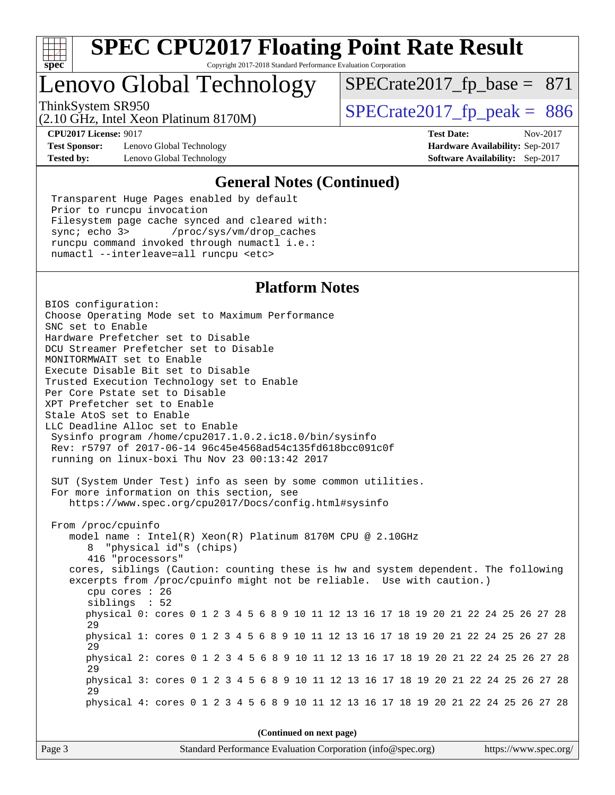

### Lenovo Global Technology

ThinkSystem SR950<br>  $\frac{10.644 \times 10^{14} \text{ J}}{20.10 \times 10^{14} \text{ J}}$  [SPECrate2017\\_fp\\_peak =](http://www.spec.org/auto/cpu2017/Docs/result-fields.html#SPECrate2017fppeak) 886

 $SPECTate2017_fp\_base = 871$ 

(2.10 GHz, Intel Xeon Platinum 8170M)

**[Test Sponsor:](http://www.spec.org/auto/cpu2017/Docs/result-fields.html#TestSponsor)** Lenovo Global Technology **[Hardware Availability:](http://www.spec.org/auto/cpu2017/Docs/result-fields.html#HardwareAvailability)** Sep-2017 **[Tested by:](http://www.spec.org/auto/cpu2017/Docs/result-fields.html#Testedby)** Lenovo Global Technology **[Software Availability:](http://www.spec.org/auto/cpu2017/Docs/result-fields.html#SoftwareAvailability)** Sep-2017

**[CPU2017 License:](http://www.spec.org/auto/cpu2017/Docs/result-fields.html#CPU2017License)** 9017 **[Test Date:](http://www.spec.org/auto/cpu2017/Docs/result-fields.html#TestDate)** Nov-2017

#### **[General Notes \(Continued\)](http://www.spec.org/auto/cpu2017/Docs/result-fields.html#GeneralNotes)**

 Transparent Huge Pages enabled by default Prior to runcpu invocation Filesystem page cache synced and cleared with: sync; echo 3> /proc/sys/vm/drop\_caches runcpu command invoked through numactl i.e.: numactl --interleave=all runcpu <etc>

#### **[Platform Notes](http://www.spec.org/auto/cpu2017/Docs/result-fields.html#PlatformNotes)**

BIOS configuration: Choose Operating Mode set to Maximum Performance SNC set to Enable Hardware Prefetcher set to Disable DCU Streamer Prefetcher set to Disable MONITORMWAIT set to Enable Execute Disable Bit set to Disable Trusted Execution Technology set to Enable Per Core Pstate set to Disable XPT Prefetcher set to Enable Stale AtoS set to Enable LLC Deadline Alloc set to Enable Sysinfo program /home/cpu2017.1.0.2.ic18.0/bin/sysinfo Rev: r5797 of 2017-06-14 96c45e4568ad54c135fd618bcc091c0f running on linux-boxi Thu Nov 23 00:13:42 2017 SUT (System Under Test) info as seen by some common utilities. For more information on this section, see <https://www.spec.org/cpu2017/Docs/config.html#sysinfo> From /proc/cpuinfo model name : Intel(R) Xeon(R) Platinum 8170M CPU @ 2.10GHz 8 "physical id"s (chips) 416 "processors" cores, siblings (Caution: counting these is hw and system dependent. The following excerpts from /proc/cpuinfo might not be reliable. Use with caution.) cpu cores : 26 siblings : 52 physical 0: cores 0 1 2 3 4 5 6 8 9 10 11 12 13 16 17 18 19 20 21 22 24 25 26 27 28 29 physical 1: cores 0 1 2 3 4 5 6 8 9 10 11 12 13 16 17 18 19 20 21 22 24 25 26 27 28 29 physical 2: cores 0 1 2 3 4 5 6 8 9 10 11 12 13 16 17 18 19 20 21 22 24 25 26 27 28 29 physical 3: cores 0 1 2 3 4 5 6 8 9 10 11 12 13 16 17 18 19 20 21 22 24 25 26 27 28 29 physical 4: cores 0 1 2 3 4 5 6 8 9 10 11 12 13 16 17 18 19 20 21 22 24 25 26 27 28 **(Continued on next page)**

Page 3 Standard Performance Evaluation Corporation [\(info@spec.org\)](mailto:info@spec.org) <https://www.spec.org/>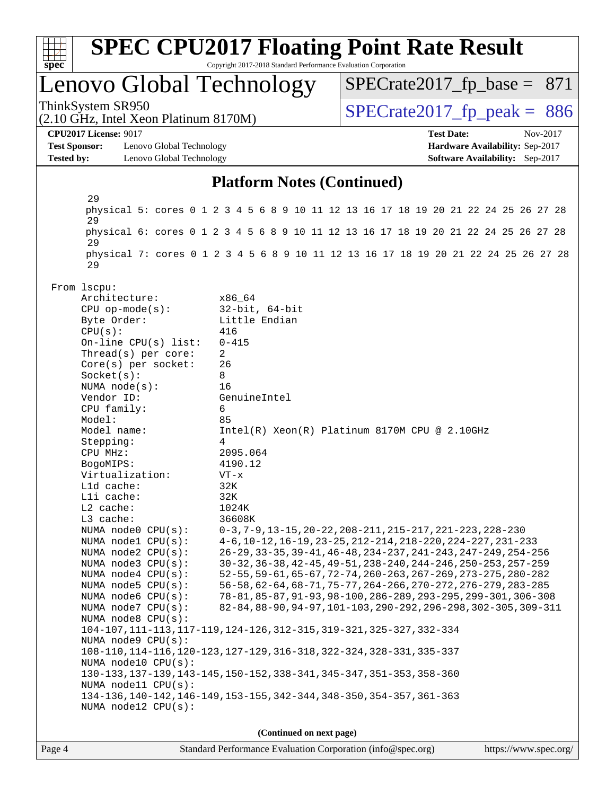

**(Continued on next page)**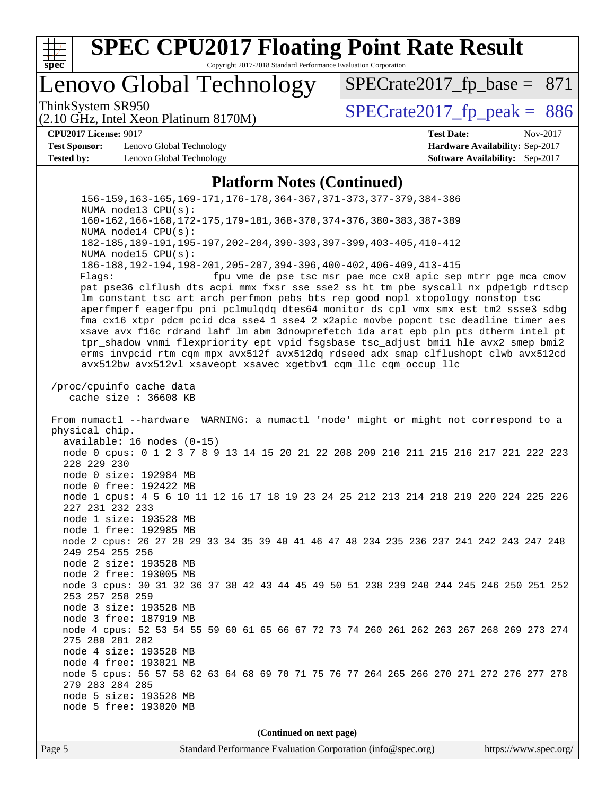

### Lenovo Global Technology

ThinkSystem SR950<br>(2.10 GHz, Intel Xeon Platinum 8170M)  $SPECrate2017_fp\_peak = 886$ 

 $SPECTate2017_fp\_base = 871$ 

### (2.10 GHz, Intel Xeon Platinum 8170M)

**[Test Sponsor:](http://www.spec.org/auto/cpu2017/Docs/result-fields.html#TestSponsor)** Lenovo Global Technology **[Hardware Availability:](http://www.spec.org/auto/cpu2017/Docs/result-fields.html#HardwareAvailability)** Sep-2017 **[Tested by:](http://www.spec.org/auto/cpu2017/Docs/result-fields.html#Testedby)** Lenovo Global Technology **[Software Availability:](http://www.spec.org/auto/cpu2017/Docs/result-fields.html#SoftwareAvailability)** Sep-2017

**[CPU2017 License:](http://www.spec.org/auto/cpu2017/Docs/result-fields.html#CPU2017License)** 9017 **[Test Date:](http://www.spec.org/auto/cpu2017/Docs/result-fields.html#TestDate)** Nov-2017

#### **[Platform Notes \(Continued\)](http://www.spec.org/auto/cpu2017/Docs/result-fields.html#PlatformNotes)**

 156-159,163-165,169-171,176-178,364-367,371-373,377-379,384-386 NUMA node13 CPU(s): 160-162,166-168,172-175,179-181,368-370,374-376,380-383,387-389 NUMA node14 CPU(s): 182-185,189-191,195-197,202-204,390-393,397-399,403-405,410-412 NUMA node15 CPU(s): 186-188,192-194,198-201,205-207,394-396,400-402,406-409,413-415 Flags: fpu vme de pse tsc msr pae mce cx8 apic sep mtrr pge mca cmov pat pse36 clflush dts acpi mmx fxsr sse sse2 ss ht tm pbe syscall nx pdpe1gb rdtscp lm constant\_tsc art arch\_perfmon pebs bts rep\_good nopl xtopology nonstop\_tsc aperfmperf eagerfpu pni pclmulqdq dtes64 monitor ds\_cpl vmx smx est tm2 ssse3 sdbg fma cx16 xtpr pdcm pcid dca sse4\_1 sse4\_2 x2apic movbe popcnt tsc\_deadline\_timer aes xsave avx f16c rdrand lahf\_lm abm 3dnowprefetch ida arat epb pln pts dtherm intel\_pt tpr\_shadow vnmi flexpriority ept vpid fsgsbase tsc\_adjust bmi1 hle avx2 smep bmi2 erms invpcid rtm cqm mpx avx512f avx512dq rdseed adx smap clflushopt clwb avx512cd avx512bw avx512vl xsaveopt xsavec xgetbv1 cqm\_llc cqm\_occup\_llc /proc/cpuinfo cache data cache size : 36608 KB From numactl --hardware WARNING: a numactl 'node' might or might not correspond to a physical chip. available: 16 nodes (0-15) node 0 cpus: 0 1 2 3 7 8 9 13 14 15 20 21 22 208 209 210 211 215 216 217 221 222 223 228 229 230 node 0 size: 192984 MB node 0 free: 192422 MB node 1 cpus: 4 5 6 10 11 12 16 17 18 19 23 24 25 212 213 214 218 219 220 224 225 226 227 231 232 233 node 1 size: 193528 MB node 1 free: 192985 MB node 2 cpus: 26 27 28 29 33 34 35 39 40 41 46 47 48 234 235 236 237 241 242 243 247 248 249 254 255 256 node 2 size: 193528 MB node 2 free: 193005 MB node 3 cpus: 30 31 32 36 37 38 42 43 44 45 49 50 51 238 239 240 244 245 246 250 251 252 253 257 258 259 node 3 size: 193528 MB node 3 free: 187919 MB node 4 cpus: 52 53 54 55 59 60 61 65 66 67 72 73 74 260 261 262 263 267 268 269 273 274 275 280 281 282 node 4 size: 193528 MB node 4 free: 193021 MB node 5 cpus: 56 57 58 62 63 64 68 69 70 71 75 76 77 264 265 266 270 271 272 276 277 278 279 283 284 285 node 5 size: 193528 MB node 5 free: 193020 MB **(Continued on next page)**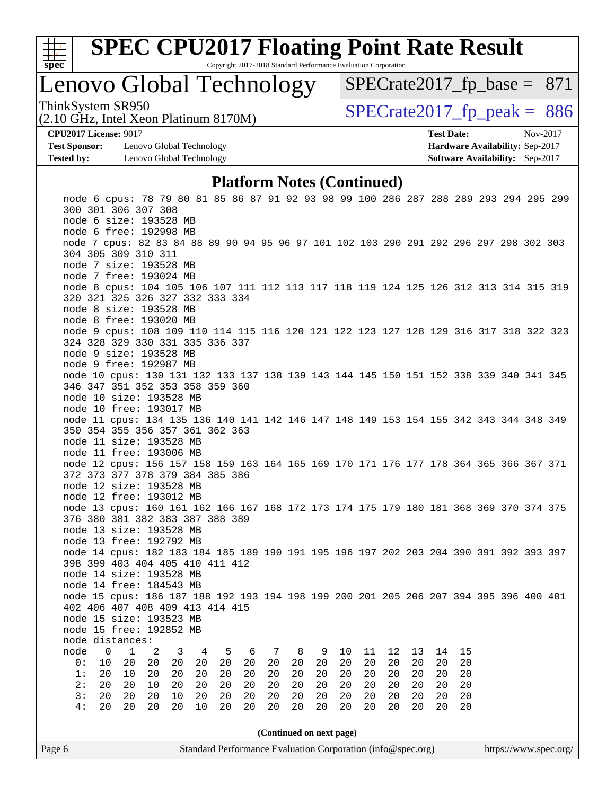

### Lenovo Global Technology

 $SPECrate2017_fp\_base = 871$ 

(2.10 GHz, Intel Xeon Platinum 8170M) ThinkSystem SR950<br>(2.10 GHz, Intel Xeon Platinum 8170M)  $SPECrate2017_fp\_peak = 886$ 

**[Test Sponsor:](http://www.spec.org/auto/cpu2017/Docs/result-fields.html#TestSponsor)** Lenovo Global Technology **[Hardware Availability:](http://www.spec.org/auto/cpu2017/Docs/result-fields.html#HardwareAvailability)** Sep-2017 **[Tested by:](http://www.spec.org/auto/cpu2017/Docs/result-fields.html#Testedby)** Lenovo Global Technology **[Software Availability:](http://www.spec.org/auto/cpu2017/Docs/result-fields.html#SoftwareAvailability)** Sep-2017

**[CPU2017 License:](http://www.spec.org/auto/cpu2017/Docs/result-fields.html#CPU2017License)** 9017 **[Test Date:](http://www.spec.org/auto/cpu2017/Docs/result-fields.html#TestDate)** Nov-2017

#### **[Platform Notes \(Continued\)](http://www.spec.org/auto/cpu2017/Docs/result-fields.html#PlatformNotes)**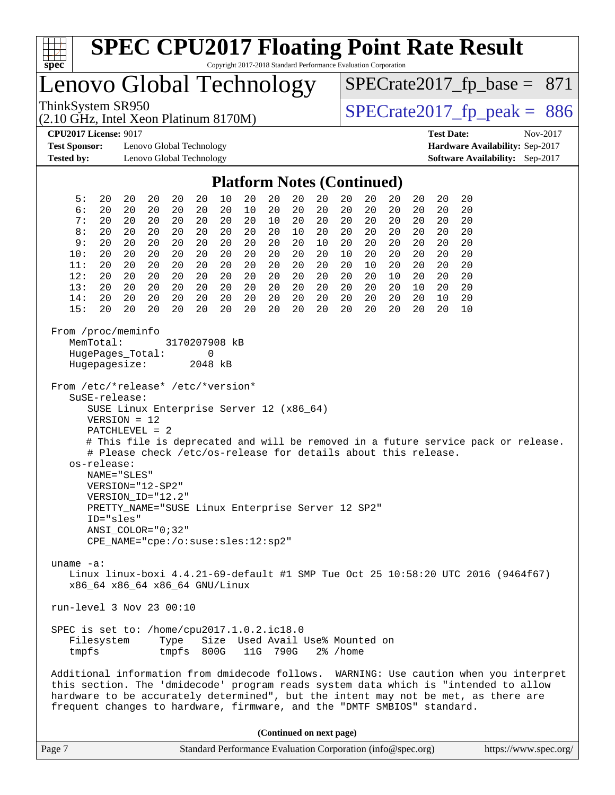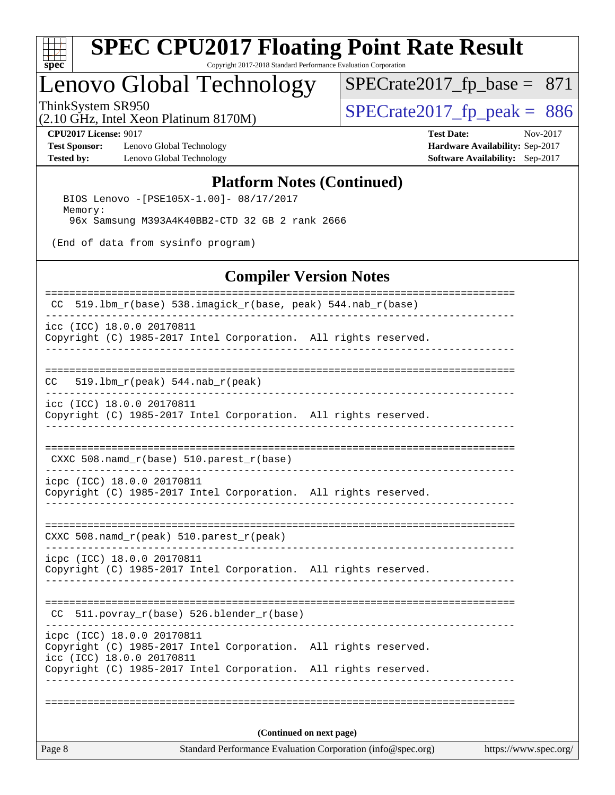

## **[SPEC CPU2017 Floating Point Rate Result](http://www.spec.org/auto/cpu2017/Docs/result-fields.html#SPECCPU2017FloatingPointRateResult)**

Copyright 2017-2018 Standard Performance Evaluation Corporation

# Lenovo Global Technology

 $SPECTate2017_fp\_peak = 886$ [SPECrate2017\\_fp\\_base =](http://www.spec.org/auto/cpu2017/Docs/result-fields.html#SPECrate2017fpbase) 871

(2.10 GHz, Intel Xeon Platinum 8170M)

**[Test Sponsor:](http://www.spec.org/auto/cpu2017/Docs/result-fields.html#TestSponsor)** Lenovo Global Technology **[Hardware Availability:](http://www.spec.org/auto/cpu2017/Docs/result-fields.html#HardwareAvailability)** Sep-2017 **[Tested by:](http://www.spec.org/auto/cpu2017/Docs/result-fields.html#Testedby)** Lenovo Global Technology **[Software Availability:](http://www.spec.org/auto/cpu2017/Docs/result-fields.html#SoftwareAvailability)** Sep-2017

**[CPU2017 License:](http://www.spec.org/auto/cpu2017/Docs/result-fields.html#CPU2017License)** 9017 **[Test Date:](http://www.spec.org/auto/cpu2017/Docs/result-fields.html#TestDate)** Nov-2017

#### **[Platform Notes \(Continued\)](http://www.spec.org/auto/cpu2017/Docs/result-fields.html#PlatformNotes)**

 BIOS Lenovo -[PSE105X-1.00]- 08/17/2017 Memory: 96x Samsung M393A4K40BB2-CTD 32 GB 2 rank 2666

(End of data from sysinfo program)

#### **[Compiler Version Notes](http://www.spec.org/auto/cpu2017/Docs/result-fields.html#CompilerVersionNotes)**

| Page 8 |                                                                                               | Standard Performance Evaluation Corporation (info@spec.org) | https://www.spec.org/ |
|--------|-----------------------------------------------------------------------------------------------|-------------------------------------------------------------|-----------------------|
|        |                                                                                               | (Continued on next page)                                    |                       |
|        |                                                                                               |                                                             |                       |
|        | Copyright (C) 1985-2017 Intel Corporation. All rights reserved.                               |                                                             |                       |
|        | Copyright (C) 1985-2017 Intel Corporation. All rights reserved.<br>icc (ICC) 18.0.0 20170811  |                                                             |                       |
|        | icpc (ICC) 18.0.0 20170811                                                                    | _______________________________                             |                       |
| CC.    | 511.povray_r(base) 526.blender_r(base)                                                        |                                                             |                       |
|        |                                                                                               |                                                             |                       |
|        | icpc (ICC) 18.0.0 20170811<br>Copyright (C) 1985-2017 Intel Corporation. All rights reserved. |                                                             |                       |
|        | CXXC 508.namd_r(peak) 510.parest_r(peak)                                                      |                                                             |                       |
|        |                                                                                               |                                                             |                       |
|        | icpc (ICC) 18.0.0 20170811<br>Copyright (C) 1985-2017 Intel Corporation. All rights reserved. |                                                             |                       |
|        | CXXC 508.namd_r(base) 510.parest_r(base)                                                      |                                                             |                       |
|        |                                                                                               |                                                             |                       |
|        | icc (ICC) 18.0.0 20170811<br>Copyright (C) 1985-2017 Intel Corporation. All rights reserved.  |                                                             |                       |
| CC     | 519.1bm_r(peak) 544.nab_r(peak)                                                               |                                                             |                       |
|        |                                                                                               |                                                             |                       |
|        | Copyright (C) 1985-2017 Intel Corporation. All rights reserved.                               |                                                             |                       |
|        | icc (ICC) 18.0.0 20170811                                                                     |                                                             |                       |
| CC     | 519.1bm_r(base) 538.imagick_r(base, peak) 544.nab_r(base)                                     |                                                             |                       |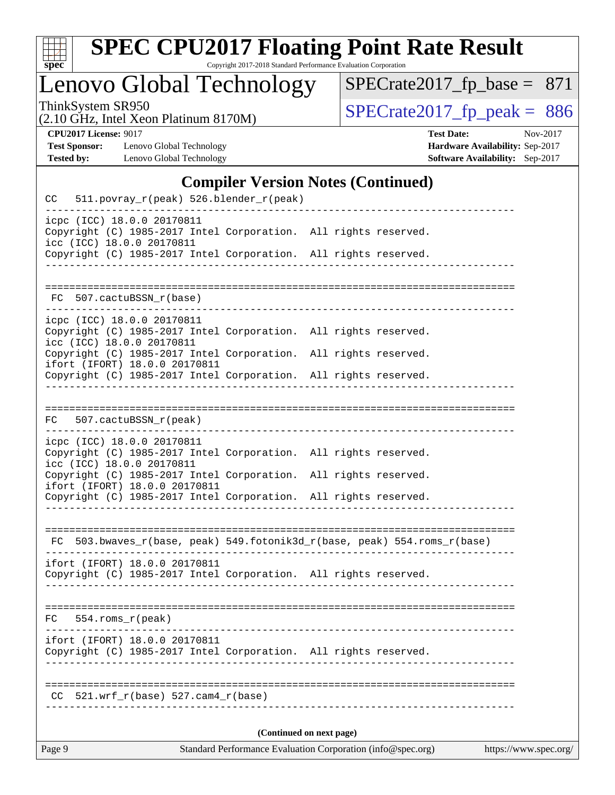

## **[SPEC CPU2017 Floating Point Rate Result](http://www.spec.org/auto/cpu2017/Docs/result-fields.html#SPECCPU2017FloatingPointRateResult)**

Copyright 2017-2018 Standard Performance Evaluation Corporation

### Lenovo Global Technology

ThinkSystem SR950<br>  $(2.10 \text{ GHz})$  Intel Xeon Platinum 8170M) [SPECrate2017\\_fp\\_peak =](http://www.spec.org/auto/cpu2017/Docs/result-fields.html#SPECrate2017fppeak) 886

[SPECrate2017\\_fp\\_base =](http://www.spec.org/auto/cpu2017/Docs/result-fields.html#SPECrate2017fpbase) 871

(2.10 GHz, Intel Xeon Platinum 8170M)

**[Tested by:](http://www.spec.org/auto/cpu2017/Docs/result-fields.html#Testedby)** Lenovo Global Technology **[Software Availability:](http://www.spec.org/auto/cpu2017/Docs/result-fields.html#SoftwareAvailability)** Sep-2017

**[CPU2017 License:](http://www.spec.org/auto/cpu2017/Docs/result-fields.html#CPU2017License)** 9017 **[Test Date:](http://www.spec.org/auto/cpu2017/Docs/result-fields.html#TestDate)** Nov-2017 **[Test Sponsor:](http://www.spec.org/auto/cpu2017/Docs/result-fields.html#TestSponsor)** Lenovo Global Technology **[Hardware Availability:](http://www.spec.org/auto/cpu2017/Docs/result-fields.html#HardwareAvailability)** Sep-2017

#### **[Compiler Version Notes \(Continued\)](http://www.spec.org/auto/cpu2017/Docs/result-fields.html#CompilerVersionNotes)**

| Page 9                                                                                   |                                                         |  |  | Standard Performance Evaluation Corporation (info@spec.org)                                                   |  |  |                                                                          | https://www.spec.org/ |
|------------------------------------------------------------------------------------------|---------------------------------------------------------|--|--|---------------------------------------------------------------------------------------------------------------|--|--|--------------------------------------------------------------------------|-----------------------|
|                                                                                          | (Continued on next page)                                |  |  |                                                                                                               |  |  |                                                                          |                       |
|                                                                                          | $CC$ 521.wrf_r(base) 527.cam4_r(base)                   |  |  |                                                                                                               |  |  | _______________________________                                          |                       |
|                                                                                          | ifort (IFORT) 18.0.0 20170811                           |  |  | Copyright (C) 1985-2017 Intel Corporation. All rights reserved.                                               |  |  |                                                                          |                       |
|                                                                                          | $FC 554.rows_r (peak)$                                  |  |  |                                                                                                               |  |  |                                                                          |                       |
|                                                                                          |                                                         |  |  |                                                                                                               |  |  |                                                                          |                       |
|                                                                                          | ifort (IFORT) 18.0.0 20170811                           |  |  | Copyright (C) 1985-2017 Intel Corporation. All rights reserved.                                               |  |  |                                                                          |                       |
|                                                                                          |                                                         |  |  |                                                                                                               |  |  | FC 503.bwaves_r(base, peak) 549.fotonik3d_r(base, peak) 554.roms_r(base) |                       |
|                                                                                          |                                                         |  |  |                                                                                                               |  |  |                                                                          |                       |
|                                                                                          | ifort (IFORT) 18.0.0 20170811                           |  |  | Copyright (C) 1985-2017 Intel Corporation.<br>Copyright (C) 1985-2017 Intel Corporation. All rights reserved. |  |  | All rights reserved.                                                     |                       |
|                                                                                          | icc (ICC) 18.0.0 20170811                               |  |  | Copyright (C) 1985-2017 Intel Corporation. All rights reserved.                                               |  |  |                                                                          |                       |
|                                                                                          | icpc (ICC) 18.0.0 20170811                              |  |  |                                                                                                               |  |  |                                                                          |                       |
| FC                                                                                       | 507.cactuBSSN_r(peak)                                   |  |  |                                                                                                               |  |  |                                                                          |                       |
|                                                                                          |                                                         |  |  | Copyright (C) 1985-2017 Intel Corporation. All rights reserved.                                               |  |  |                                                                          |                       |
| icpc (ICC) 18.0.0 20170811<br>icc (ICC) 18.0.0 20170811<br>ifort (IFORT) 18.0.0 20170811 |                                                         |  |  | Copyright (C) 1985-2017 Intel Corporation.                                                                    |  |  | All rights reserved.                                                     |                       |
|                                                                                          |                                                         |  |  | Copyright (C) 1985-2017 Intel Corporation. All rights reserved.                                               |  |  |                                                                          |                       |
|                                                                                          | FC 507.cactuBSSN_r(base)                                |  |  |                                                                                                               |  |  |                                                                          |                       |
|                                                                                          |                                                         |  |  |                                                                                                               |  |  |                                                                          |                       |
|                                                                                          |                                                         |  |  | Copyright (C) 1985-2017 Intel Corporation. All rights reserved.                                               |  |  |                                                                          |                       |
|                                                                                          | icpc (ICC) 18.0.0 20170811<br>icc (ICC) 18.0.0 20170811 |  |  | Copyright (C) 1985-2017 Intel Corporation. All rights reserved.                                               |  |  |                                                                          |                       |
| CC                                                                                       |                                                         |  |  | 511.povray_r(peak) 526.blender_r(peak)                                                                        |  |  |                                                                          |                       |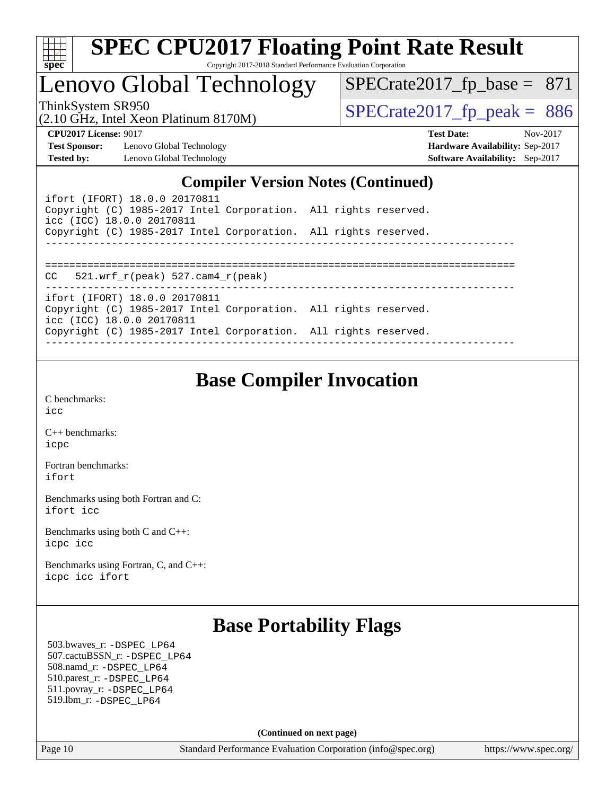

### Lenovo Global Technology

ThinkSystem SR950<br>(2.10 GHz, Intel Xeon Platinum 8170M)  $SPECrate2017_fp\_peak = 886$ 

 $SPECTate2017_fp\_base = 871$ 

(2.10 GHz, Intel Xeon Platinum 8170M)

**[Test Sponsor:](http://www.spec.org/auto/cpu2017/Docs/result-fields.html#TestSponsor)** Lenovo Global Technology **[Hardware Availability:](http://www.spec.org/auto/cpu2017/Docs/result-fields.html#HardwareAvailability)** Sep-2017 **[Tested by:](http://www.spec.org/auto/cpu2017/Docs/result-fields.html#Testedby)** Lenovo Global Technology **[Software Availability:](http://www.spec.org/auto/cpu2017/Docs/result-fields.html#SoftwareAvailability)** Sep-2017

**[CPU2017 License:](http://www.spec.org/auto/cpu2017/Docs/result-fields.html#CPU2017License)** 9017 **[Test Date:](http://www.spec.org/auto/cpu2017/Docs/result-fields.html#TestDate)** Nov-2017

#### **[Compiler Version Notes \(Continued\)](http://www.spec.org/auto/cpu2017/Docs/result-fields.html#CompilerVersionNotes)**

| ifort (IFORT) 18.0.0 20170811<br>Copyright (C) 1985-2017 Intel Corporation. All rights reserved.<br>icc (ICC) 18.0.0 20170811 |  |
|-------------------------------------------------------------------------------------------------------------------------------|--|
| Copyright (C) 1985-2017 Intel Corporation. All rights reserved.                                                               |  |
|                                                                                                                               |  |
|                                                                                                                               |  |
| 521.wrf r(peak) 527.cam4 r(peak)<br>CC                                                                                        |  |
| ifort (IFORT) 18.0.0 20170811                                                                                                 |  |
| Copyright (C) 1985-2017 Intel Corporation. All rights reserved.                                                               |  |
| icc (ICC) 18.0.0 20170811                                                                                                     |  |
| Copyright (C) 1985-2017 Intel Corporation. All rights reserved.                                                               |  |
|                                                                                                                               |  |

### **[Base Compiler Invocation](http://www.spec.org/auto/cpu2017/Docs/result-fields.html#BaseCompilerInvocation)**

[C benchmarks](http://www.spec.org/auto/cpu2017/Docs/result-fields.html#Cbenchmarks): [icc](http://www.spec.org/cpu2017/results/res2017q4/cpu2017-20171211-01466.flags.html#user_CCbase_intel_icc_18.0_66fc1ee009f7361af1fbd72ca7dcefbb700085f36577c54f309893dd4ec40d12360134090235512931783d35fd58c0460139e722d5067c5574d8eaf2b3e37e92)

[C++ benchmarks:](http://www.spec.org/auto/cpu2017/Docs/result-fields.html#CXXbenchmarks) [icpc](http://www.spec.org/cpu2017/results/res2017q4/cpu2017-20171211-01466.flags.html#user_CXXbase_intel_icpc_18.0_c510b6838c7f56d33e37e94d029a35b4a7bccf4766a728ee175e80a419847e808290a9b78be685c44ab727ea267ec2f070ec5dc83b407c0218cded6866a35d07)

[Fortran benchmarks](http://www.spec.org/auto/cpu2017/Docs/result-fields.html#Fortranbenchmarks): [ifort](http://www.spec.org/cpu2017/results/res2017q4/cpu2017-20171211-01466.flags.html#user_FCbase_intel_ifort_18.0_8111460550e3ca792625aed983ce982f94888b8b503583aa7ba2b8303487b4d8a21a13e7191a45c5fd58ff318f48f9492884d4413fa793fd88dd292cad7027ca)

[Benchmarks using both Fortran and C](http://www.spec.org/auto/cpu2017/Docs/result-fields.html#BenchmarksusingbothFortranandC): [ifort](http://www.spec.org/cpu2017/results/res2017q4/cpu2017-20171211-01466.flags.html#user_CC_FCbase_intel_ifort_18.0_8111460550e3ca792625aed983ce982f94888b8b503583aa7ba2b8303487b4d8a21a13e7191a45c5fd58ff318f48f9492884d4413fa793fd88dd292cad7027ca) [icc](http://www.spec.org/cpu2017/results/res2017q4/cpu2017-20171211-01466.flags.html#user_CC_FCbase_intel_icc_18.0_66fc1ee009f7361af1fbd72ca7dcefbb700085f36577c54f309893dd4ec40d12360134090235512931783d35fd58c0460139e722d5067c5574d8eaf2b3e37e92)

[Benchmarks using both C and C++](http://www.spec.org/auto/cpu2017/Docs/result-fields.html#BenchmarksusingbothCandCXX): [icpc](http://www.spec.org/cpu2017/results/res2017q4/cpu2017-20171211-01466.flags.html#user_CC_CXXbase_intel_icpc_18.0_c510b6838c7f56d33e37e94d029a35b4a7bccf4766a728ee175e80a419847e808290a9b78be685c44ab727ea267ec2f070ec5dc83b407c0218cded6866a35d07) [icc](http://www.spec.org/cpu2017/results/res2017q4/cpu2017-20171211-01466.flags.html#user_CC_CXXbase_intel_icc_18.0_66fc1ee009f7361af1fbd72ca7dcefbb700085f36577c54f309893dd4ec40d12360134090235512931783d35fd58c0460139e722d5067c5574d8eaf2b3e37e92)

[Benchmarks using Fortran, C, and C++:](http://www.spec.org/auto/cpu2017/Docs/result-fields.html#BenchmarksusingFortranCandCXX) [icpc](http://www.spec.org/cpu2017/results/res2017q4/cpu2017-20171211-01466.flags.html#user_CC_CXX_FCbase_intel_icpc_18.0_c510b6838c7f56d33e37e94d029a35b4a7bccf4766a728ee175e80a419847e808290a9b78be685c44ab727ea267ec2f070ec5dc83b407c0218cded6866a35d07) [icc](http://www.spec.org/cpu2017/results/res2017q4/cpu2017-20171211-01466.flags.html#user_CC_CXX_FCbase_intel_icc_18.0_66fc1ee009f7361af1fbd72ca7dcefbb700085f36577c54f309893dd4ec40d12360134090235512931783d35fd58c0460139e722d5067c5574d8eaf2b3e37e92) [ifort](http://www.spec.org/cpu2017/results/res2017q4/cpu2017-20171211-01466.flags.html#user_CC_CXX_FCbase_intel_ifort_18.0_8111460550e3ca792625aed983ce982f94888b8b503583aa7ba2b8303487b4d8a21a13e7191a45c5fd58ff318f48f9492884d4413fa793fd88dd292cad7027ca)

### **[Base Portability Flags](http://www.spec.org/auto/cpu2017/Docs/result-fields.html#BasePortabilityFlags)**

 503.bwaves\_r: [-DSPEC\\_LP64](http://www.spec.org/cpu2017/results/res2017q4/cpu2017-20171211-01466.flags.html#suite_basePORTABILITY503_bwaves_r_DSPEC_LP64) 507.cactuBSSN\_r: [-DSPEC\\_LP64](http://www.spec.org/cpu2017/results/res2017q4/cpu2017-20171211-01466.flags.html#suite_basePORTABILITY507_cactuBSSN_r_DSPEC_LP64) 508.namd\_r: [-DSPEC\\_LP64](http://www.spec.org/cpu2017/results/res2017q4/cpu2017-20171211-01466.flags.html#suite_basePORTABILITY508_namd_r_DSPEC_LP64) 510.parest\_r: [-DSPEC\\_LP64](http://www.spec.org/cpu2017/results/res2017q4/cpu2017-20171211-01466.flags.html#suite_basePORTABILITY510_parest_r_DSPEC_LP64) 511.povray\_r: [-DSPEC\\_LP64](http://www.spec.org/cpu2017/results/res2017q4/cpu2017-20171211-01466.flags.html#suite_basePORTABILITY511_povray_r_DSPEC_LP64) 519.lbm\_r: [-DSPEC\\_LP64](http://www.spec.org/cpu2017/results/res2017q4/cpu2017-20171211-01466.flags.html#suite_basePORTABILITY519_lbm_r_DSPEC_LP64)

**(Continued on next page)**

Page 10 Standard Performance Evaluation Corporation [\(info@spec.org\)](mailto:info@spec.org) <https://www.spec.org/>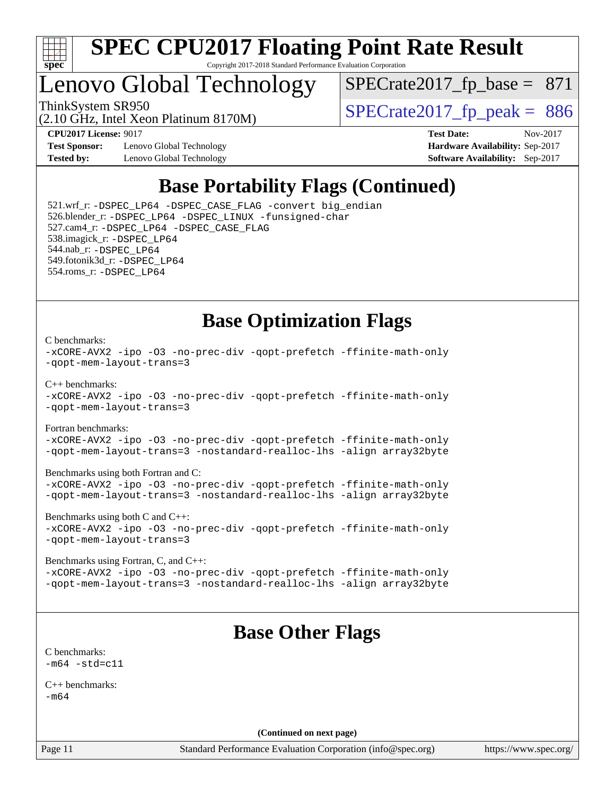

### Lenovo Global Technology

ThinkSystem SR950<br>(2.10 GHz, Intel Xeon Platinum 8170M)  $SPECrate2017_fp\_peak = 886$  $SPECTate2017_fp\_base = 871$ 

(2.10 GHz, Intel Xeon Platinum 8170M)

**[Test Sponsor:](http://www.spec.org/auto/cpu2017/Docs/result-fields.html#TestSponsor)** Lenovo Global Technology **[Hardware Availability:](http://www.spec.org/auto/cpu2017/Docs/result-fields.html#HardwareAvailability)** Sep-2017 **[Tested by:](http://www.spec.org/auto/cpu2017/Docs/result-fields.html#Testedby)** Lenovo Global Technology **[Software Availability:](http://www.spec.org/auto/cpu2017/Docs/result-fields.html#SoftwareAvailability)** Sep-2017

**[CPU2017 License:](http://www.spec.org/auto/cpu2017/Docs/result-fields.html#CPU2017License)** 9017 **[Test Date:](http://www.spec.org/auto/cpu2017/Docs/result-fields.html#TestDate)** Nov-2017

### **[Base Portability Flags \(Continued\)](http://www.spec.org/auto/cpu2017/Docs/result-fields.html#BasePortabilityFlags)**

 521.wrf\_r: [-DSPEC\\_LP64](http://www.spec.org/cpu2017/results/res2017q4/cpu2017-20171211-01466.flags.html#suite_basePORTABILITY521_wrf_r_DSPEC_LP64) [-DSPEC\\_CASE\\_FLAG](http://www.spec.org/cpu2017/results/res2017q4/cpu2017-20171211-01466.flags.html#b521.wrf_r_baseCPORTABILITY_DSPEC_CASE_FLAG) [-convert big\\_endian](http://www.spec.org/cpu2017/results/res2017q4/cpu2017-20171211-01466.flags.html#user_baseFPORTABILITY521_wrf_r_convert_big_endian_c3194028bc08c63ac5d04de18c48ce6d347e4e562e8892b8bdbdc0214820426deb8554edfa529a3fb25a586e65a3d812c835984020483e7e73212c4d31a38223) 526.blender\_r: [-DSPEC\\_LP64](http://www.spec.org/cpu2017/results/res2017q4/cpu2017-20171211-01466.flags.html#suite_basePORTABILITY526_blender_r_DSPEC_LP64) [-DSPEC\\_LINUX](http://www.spec.org/cpu2017/results/res2017q4/cpu2017-20171211-01466.flags.html#b526.blender_r_baseCPORTABILITY_DSPEC_LINUX) [-funsigned-char](http://www.spec.org/cpu2017/results/res2017q4/cpu2017-20171211-01466.flags.html#user_baseCPORTABILITY526_blender_r_force_uchar_40c60f00ab013830e2dd6774aeded3ff59883ba5a1fc5fc14077f794d777847726e2a5858cbc7672e36e1b067e7e5c1d9a74f7176df07886a243d7cc18edfe67) 527.cam4\_r: [-DSPEC\\_LP64](http://www.spec.org/cpu2017/results/res2017q4/cpu2017-20171211-01466.flags.html#suite_basePORTABILITY527_cam4_r_DSPEC_LP64) [-DSPEC\\_CASE\\_FLAG](http://www.spec.org/cpu2017/results/res2017q4/cpu2017-20171211-01466.flags.html#b527.cam4_r_baseCPORTABILITY_DSPEC_CASE_FLAG) 538.imagick\_r: [-DSPEC\\_LP64](http://www.spec.org/cpu2017/results/res2017q4/cpu2017-20171211-01466.flags.html#suite_basePORTABILITY538_imagick_r_DSPEC_LP64) 544.nab\_r: [-DSPEC\\_LP64](http://www.spec.org/cpu2017/results/res2017q4/cpu2017-20171211-01466.flags.html#suite_basePORTABILITY544_nab_r_DSPEC_LP64) 549.fotonik3d\_r: [-DSPEC\\_LP64](http://www.spec.org/cpu2017/results/res2017q4/cpu2017-20171211-01466.flags.html#suite_basePORTABILITY549_fotonik3d_r_DSPEC_LP64) 554.roms\_r: [-DSPEC\\_LP64](http://www.spec.org/cpu2017/results/res2017q4/cpu2017-20171211-01466.flags.html#suite_basePORTABILITY554_roms_r_DSPEC_LP64)

### **[Base Optimization Flags](http://www.spec.org/auto/cpu2017/Docs/result-fields.html#BaseOptimizationFlags)**

#### [C benchmarks](http://www.spec.org/auto/cpu2017/Docs/result-fields.html#Cbenchmarks):

```
-xCORE-AVX2 -ipo -O3 -no-prec-div -qopt-prefetch -ffinite-math-only
-qopt-mem-layout-trans=3
C++ benchmarks: 
-xCORE-AVX2 -ipo -O3 -no-prec-div -qopt-prefetch -ffinite-math-only
-qopt-mem-layout-trans=3
Fortran benchmarks: 
-xCORE-AVX2 -ipo -O3 -no-prec-div -qopt-prefetch -ffinite-math-only
-qopt-mem-layout-trans=3 -nostandard-realloc-lhs -align array32byte
Benchmarks using both Fortran and C: 
-xCORE-AVX2 -ipo -O3 -no-prec-div -qopt-prefetch -ffinite-math-only
-qopt-mem-layout-trans=3 -nostandard-realloc-lhs -align array32byte
Benchmarks using both C and C++: 
-xCORE-AVX2 -ipo -O3 -no-prec-div -qopt-prefetch -ffinite-math-only
-qopt-mem-layout-trans=3
Benchmarks using Fortran, C, and C++: 
-xCORE-AVX2 -ipo -O3 -no-prec-div -qopt-prefetch -ffinite-math-only
-qopt-mem-layout-trans=3 -nostandard-realloc-lhs -align array32byte
                                Base Other Flags
```
[C benchmarks](http://www.spec.org/auto/cpu2017/Docs/result-fields.html#Cbenchmarks):  $-m64 - std = c11$  $-m64 - std = c11$ 

[C++ benchmarks:](http://www.spec.org/auto/cpu2017/Docs/result-fields.html#CXXbenchmarks) [-m64](http://www.spec.org/cpu2017/results/res2017q4/cpu2017-20171211-01466.flags.html#user_CXXbase_intel_intel64_18.0_af43caccfc8ded86e7699f2159af6efc7655f51387b94da716254467f3c01020a5059329e2569e4053f409e7c9202a7efc638f7a6d1ffb3f52dea4a3e31d82ab)

**(Continued on next page)**

Page 11 Standard Performance Evaluation Corporation [\(info@spec.org\)](mailto:info@spec.org) <https://www.spec.org/>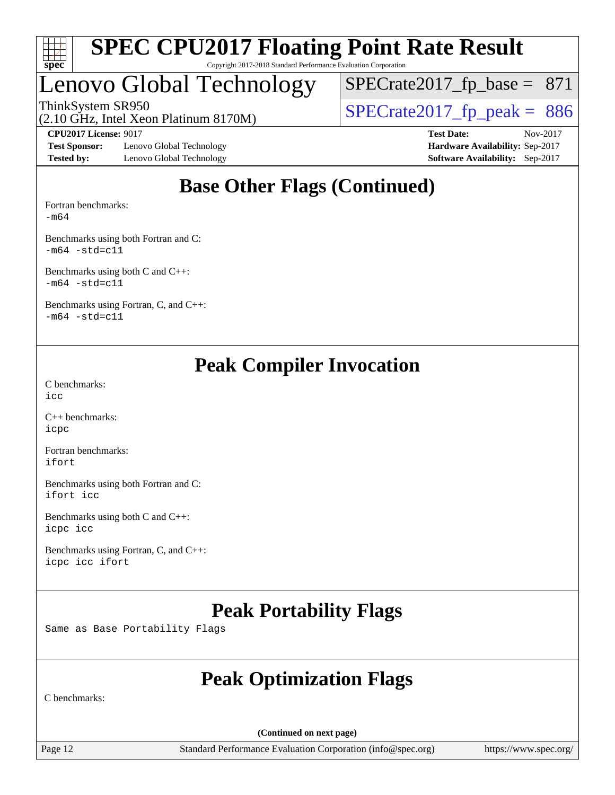

### Lenovo Global Technology

ThinkSystem SR950<br>(2.10 GHz, Intel Xeon Platinum 8170M)  $SPECrate2017_fp\_peak = 886$  $SPECTate2017_fp\_base = 871$ 

(2.10 GHz, Intel Xeon Platinum 8170M)

**[Test Sponsor:](http://www.spec.org/auto/cpu2017/Docs/result-fields.html#TestSponsor)** Lenovo Global Technology **[Hardware Availability:](http://www.spec.org/auto/cpu2017/Docs/result-fields.html#HardwareAvailability)** Sep-2017 **[Tested by:](http://www.spec.org/auto/cpu2017/Docs/result-fields.html#Testedby)** Lenovo Global Technology **[Software Availability:](http://www.spec.org/auto/cpu2017/Docs/result-fields.html#SoftwareAvailability)** Sep-2017

**[CPU2017 License:](http://www.spec.org/auto/cpu2017/Docs/result-fields.html#CPU2017License)** 9017 **[Test Date:](http://www.spec.org/auto/cpu2017/Docs/result-fields.html#TestDate)** Nov-2017

### **[Base Other Flags \(Continued\)](http://www.spec.org/auto/cpu2017/Docs/result-fields.html#BaseOtherFlags)**

[Fortran benchmarks](http://www.spec.org/auto/cpu2017/Docs/result-fields.html#Fortranbenchmarks):

[-m64](http://www.spec.org/cpu2017/results/res2017q4/cpu2017-20171211-01466.flags.html#user_FCbase_intel_intel64_18.0_af43caccfc8ded86e7699f2159af6efc7655f51387b94da716254467f3c01020a5059329e2569e4053f409e7c9202a7efc638f7a6d1ffb3f52dea4a3e31d82ab)

[Benchmarks using both Fortran and C](http://www.spec.org/auto/cpu2017/Docs/result-fields.html#BenchmarksusingbothFortranandC):  $-m64 - std= c11$  $-m64 - std= c11$ 

[Benchmarks using both C and C++](http://www.spec.org/auto/cpu2017/Docs/result-fields.html#BenchmarksusingbothCandCXX):  $-m64$   $-std=cl1$ 

[Benchmarks using Fortran, C, and C++:](http://www.spec.org/auto/cpu2017/Docs/result-fields.html#BenchmarksusingFortranCandCXX)  $-m64$   $-std=cl1$ 

### **[Peak Compiler Invocation](http://www.spec.org/auto/cpu2017/Docs/result-fields.html#PeakCompilerInvocation)**

[C benchmarks](http://www.spec.org/auto/cpu2017/Docs/result-fields.html#Cbenchmarks): [icc](http://www.spec.org/cpu2017/results/res2017q4/cpu2017-20171211-01466.flags.html#user_CCpeak_intel_icc_18.0_66fc1ee009f7361af1fbd72ca7dcefbb700085f36577c54f309893dd4ec40d12360134090235512931783d35fd58c0460139e722d5067c5574d8eaf2b3e37e92)

[C++ benchmarks:](http://www.spec.org/auto/cpu2017/Docs/result-fields.html#CXXbenchmarks) [icpc](http://www.spec.org/cpu2017/results/res2017q4/cpu2017-20171211-01466.flags.html#user_CXXpeak_intel_icpc_18.0_c510b6838c7f56d33e37e94d029a35b4a7bccf4766a728ee175e80a419847e808290a9b78be685c44ab727ea267ec2f070ec5dc83b407c0218cded6866a35d07)

[Fortran benchmarks](http://www.spec.org/auto/cpu2017/Docs/result-fields.html#Fortranbenchmarks): [ifort](http://www.spec.org/cpu2017/results/res2017q4/cpu2017-20171211-01466.flags.html#user_FCpeak_intel_ifort_18.0_8111460550e3ca792625aed983ce982f94888b8b503583aa7ba2b8303487b4d8a21a13e7191a45c5fd58ff318f48f9492884d4413fa793fd88dd292cad7027ca)

[Benchmarks using both Fortran and C](http://www.spec.org/auto/cpu2017/Docs/result-fields.html#BenchmarksusingbothFortranandC): [ifort](http://www.spec.org/cpu2017/results/res2017q4/cpu2017-20171211-01466.flags.html#user_CC_FCpeak_intel_ifort_18.0_8111460550e3ca792625aed983ce982f94888b8b503583aa7ba2b8303487b4d8a21a13e7191a45c5fd58ff318f48f9492884d4413fa793fd88dd292cad7027ca) [icc](http://www.spec.org/cpu2017/results/res2017q4/cpu2017-20171211-01466.flags.html#user_CC_FCpeak_intel_icc_18.0_66fc1ee009f7361af1fbd72ca7dcefbb700085f36577c54f309893dd4ec40d12360134090235512931783d35fd58c0460139e722d5067c5574d8eaf2b3e37e92)

[Benchmarks using both C and C++](http://www.spec.org/auto/cpu2017/Docs/result-fields.html#BenchmarksusingbothCandCXX): [icpc](http://www.spec.org/cpu2017/results/res2017q4/cpu2017-20171211-01466.flags.html#user_CC_CXXpeak_intel_icpc_18.0_c510b6838c7f56d33e37e94d029a35b4a7bccf4766a728ee175e80a419847e808290a9b78be685c44ab727ea267ec2f070ec5dc83b407c0218cded6866a35d07) [icc](http://www.spec.org/cpu2017/results/res2017q4/cpu2017-20171211-01466.flags.html#user_CC_CXXpeak_intel_icc_18.0_66fc1ee009f7361af1fbd72ca7dcefbb700085f36577c54f309893dd4ec40d12360134090235512931783d35fd58c0460139e722d5067c5574d8eaf2b3e37e92)

[Benchmarks using Fortran, C, and C++:](http://www.spec.org/auto/cpu2017/Docs/result-fields.html#BenchmarksusingFortranCandCXX) [icpc](http://www.spec.org/cpu2017/results/res2017q4/cpu2017-20171211-01466.flags.html#user_CC_CXX_FCpeak_intel_icpc_18.0_c510b6838c7f56d33e37e94d029a35b4a7bccf4766a728ee175e80a419847e808290a9b78be685c44ab727ea267ec2f070ec5dc83b407c0218cded6866a35d07) [icc](http://www.spec.org/cpu2017/results/res2017q4/cpu2017-20171211-01466.flags.html#user_CC_CXX_FCpeak_intel_icc_18.0_66fc1ee009f7361af1fbd72ca7dcefbb700085f36577c54f309893dd4ec40d12360134090235512931783d35fd58c0460139e722d5067c5574d8eaf2b3e37e92) [ifort](http://www.spec.org/cpu2017/results/res2017q4/cpu2017-20171211-01466.flags.html#user_CC_CXX_FCpeak_intel_ifort_18.0_8111460550e3ca792625aed983ce982f94888b8b503583aa7ba2b8303487b4d8a21a13e7191a45c5fd58ff318f48f9492884d4413fa793fd88dd292cad7027ca)

### **[Peak Portability Flags](http://www.spec.org/auto/cpu2017/Docs/result-fields.html#PeakPortabilityFlags)**

Same as Base Portability Flags

### **[Peak Optimization Flags](http://www.spec.org/auto/cpu2017/Docs/result-fields.html#PeakOptimizationFlags)**

[C benchmarks:](http://www.spec.org/auto/cpu2017/Docs/result-fields.html#Cbenchmarks)

**(Continued on next page)**

Page 12 Standard Performance Evaluation Corporation [\(info@spec.org\)](mailto:info@spec.org) <https://www.spec.org/>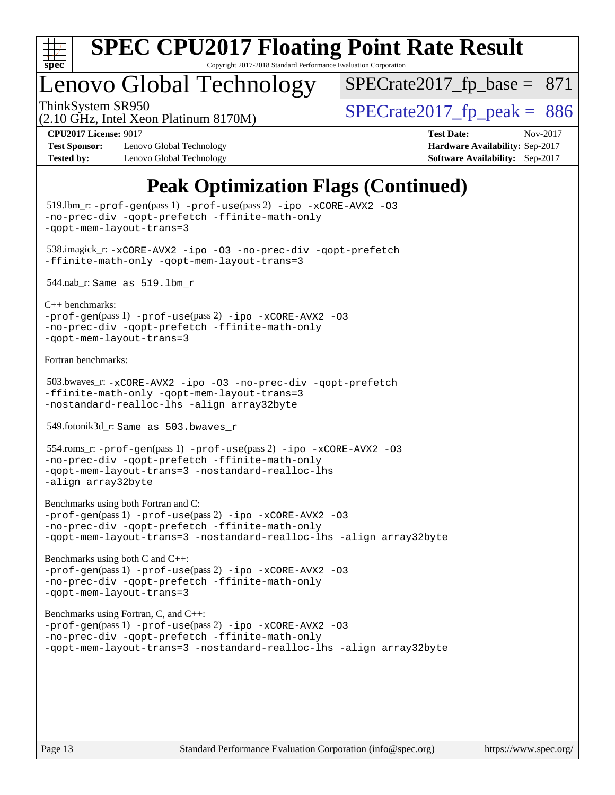

# **[SPEC CPU2017 Floating Point Rate Result](http://www.spec.org/auto/cpu2017/Docs/result-fields.html#SPECCPU2017FloatingPointRateResult)**

Copyright 2017-2018 Standard Performance Evaluation Corporation

### Lenovo Global Technology

ThinkSystem SR950<br>  $(2.10 \text{ GHz})$  Intel Year Platinum 8170M)  $SPECTate2017_fp\_base = 871$ 

(2.10 GHz, Intel Xeon Platinum 8170M)

**[Test Sponsor:](http://www.spec.org/auto/cpu2017/Docs/result-fields.html#TestSponsor)** Lenovo Global Technology **[Hardware Availability:](http://www.spec.org/auto/cpu2017/Docs/result-fields.html#HardwareAvailability)** Sep-2017 **[Tested by:](http://www.spec.org/auto/cpu2017/Docs/result-fields.html#Testedby)** Lenovo Global Technology **[Software Availability:](http://www.spec.org/auto/cpu2017/Docs/result-fields.html#SoftwareAvailability)** Sep-2017

**[CPU2017 License:](http://www.spec.org/auto/cpu2017/Docs/result-fields.html#CPU2017License)** 9017 **[Test Date:](http://www.spec.org/auto/cpu2017/Docs/result-fields.html#TestDate)** Nov-2017

### **[Peak Optimization Flags \(Continued\)](http://www.spec.org/auto/cpu2017/Docs/result-fields.html#PeakOptimizationFlags)**

```
 519.lbm_r: -prof-gen(pass 1) -prof-use(pass 2) -ipo -xCORE-AVX2 -O3
-no-prec-div -qopt-prefetch -ffinite-math-only
-qopt-mem-layout-trans=3
 538.imagick_r: -xCORE-AVX2 -ipo -O3 -no-prec-div -qopt-prefetch
-ffinite-math-only -qopt-mem-layout-trans=3
 544.nab_r: Same as 519.lbm_r
C++ benchmarks: 
-prof-gen(pass 1) -prof-use(pass 2) -ipo -xCORE-AVX2 -O3
-no-prec-div -qopt-prefetch -ffinite-math-only
-qopt-mem-layout-trans=3
Fortran benchmarks: 
 503.bwaves_r: -xCORE-AVX2 -ipo -O3 -no-prec-div -qopt-prefetch
-ffinite-math-only -qopt-mem-layout-trans=3
-nostandard-realloc-lhs -align array32byte
 549.fotonik3d_r: Same as 503.bwaves_r
 554.roms_r: -prof-gen(pass 1) -prof-use(pass 2) -ipo -xCORE-AVX2 -O3
-no-prec-div -qopt-prefetch -ffinite-math-only
-qopt-mem-layout-trans=3 -nostandard-realloc-lhs
-align array32byte
Benchmarks using both Fortran and C: 
-prof-gen(pass 1) -prof-use(pass 2) -ipo -xCORE-AVX2 -O3
-no-prec-div -qopt-prefetch -ffinite-math-only
-qopt-mem-layout-trans=3 -nostandard-realloc-lhs -align array32byte
Benchmarks using both C and C++: 
-prof-gen(pass 1) -prof-use(pass 2) -ipo -xCORE-AVX2 -O3
-no-prec-div -qopt-prefetch -ffinite-math-only
-qopt-mem-layout-trans=3
Benchmarks using Fortran, C, and C++: 
-prof-gen(pass 1) -prof-use(pass 2) -ipo -xCORE-AVX2 -O3
-no-prec-div -qopt-prefetch -ffinite-math-only
-qopt-mem-layout-trans=3 -nostandard-realloc-lhs -align array32byte
```